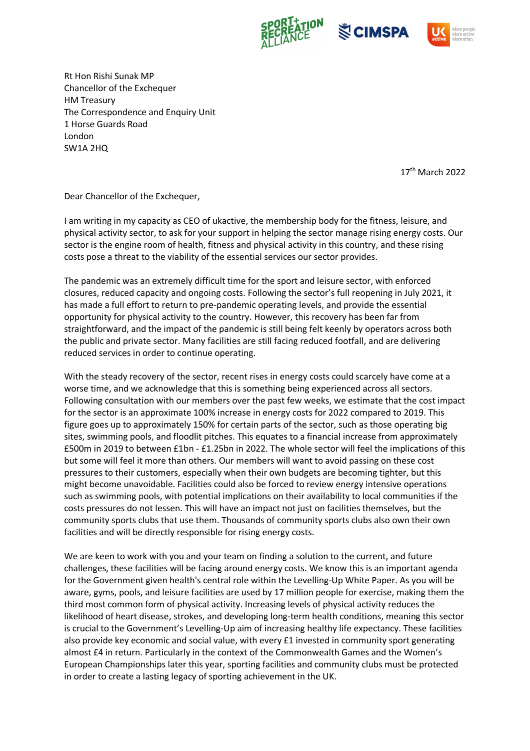





Rt Hon Rishi Sunak MP Chancellor of the Exchequer HM Treasury The Correspondence and Enquiry Unit 1 Horse Guards Road London SW1A 2HQ

17th March 2022

Dear Chancellor of the Exchequer,

I am writing in my capacity as CEO of ukactive, the membership body for the fitness, leisure, and physical activity sector, to ask for your support in helping the sector manage rising energy costs. Our sector is the engine room of health, fitness and physical activity in this country, and these rising costs pose a threat to the viability of the essential services our sector provides.

The pandemic was an extremely difficult time for the sport and leisure sector, with enforced closures, reduced capacity and ongoing costs. Following the sector's full reopening in July 2021, it has made a full effort to return to pre-pandemic operating levels, and provide the essential opportunity for physical activity to the country. However, this recovery has been far from straightforward, and the impact of the pandemic is still being felt keenly by operators across both the public and private sector. Many facilities are still facing reduced footfall, and are delivering reduced services in order to continue operating.

With the steady recovery of the sector, recent rises in energy costs could scarcely have come at a worse time, and we acknowledge that this is something being experienced across all sectors. Following consultation with our members over the past few weeks, we estimate that the cost impact for the sector is an approximate 100% increase in energy costs for 2022 compared to 2019. This figure goes up to approximately 150% for certain parts of the sector, such as those operating big sites, swimming pools, and floodlit pitches. This equates to a financial increase from approximately £500m in 2019 to between £1bn - £1.25bn in 2022. The whole sector will feel the implications of this but some will feel it more than others. Our members will want to avoid passing on these cost pressures to their customers, especially when their own budgets are becoming tighter, but this might become unavoidable. Facilities could also be forced to review energy intensive operations such as swimming pools, with potential implications on their availability to local communities if the costs pressures do not lessen. This will have an impact not just on facilities themselves, but the community sports clubs that use them. Thousands of community sports clubs also own their own facilities and will be directly responsible for rising energy costs.

We are keen to work with you and your team on finding a solution to the current, and future challenges, these facilities will be facing around energy costs. We know this is an important agenda for the Government given health's central role within the Levelling-Up White Paper. As you will be aware, gyms, pools, and leisure facilities are used by 17 million people for exercise, making them the third most common form of physical activity. Increasing levels of physical activity reduces the likelihood of heart disease, strokes, and developing long-term health conditions, meaning this sector is crucial to the Government's Levelling-Up aim of increasing healthy life expectancy. These facilities also provide key economic and social value, with every £1 invested in community sport generating almost £4 in return. Particularly in the context of the Commonwealth Games and the Women's European Championships later this year, sporting facilities and community clubs must be protected in order to create a lasting legacy of sporting achievement in the UK.